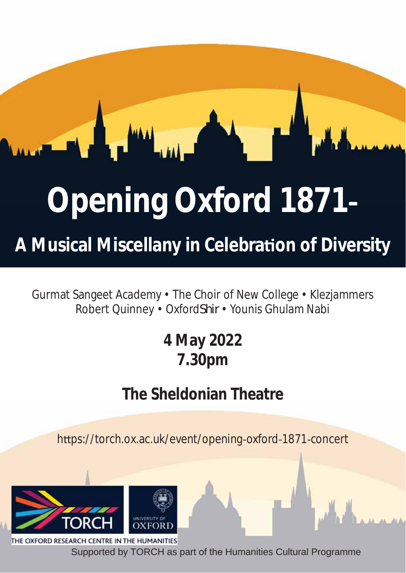# **Opening Oxford 1871**

**A Musical Miscellany in Celebraon of Diversity**

Gurmat Sangeet Academy • The Choir of New College • Klezjammers Robert Quinney • Oxford*Shir* • Younis Ghulam Nabi

# **4 May 2022 7.30pm**

# **The Sheldonian Theatre**

https://torch.ox.ac.uk/event/opening-oxford-1871-concert



OXFORD RESEARCH CENTRE IN THE HUMANITIES Supported by TORCH as part of the Humanities Cultural Programme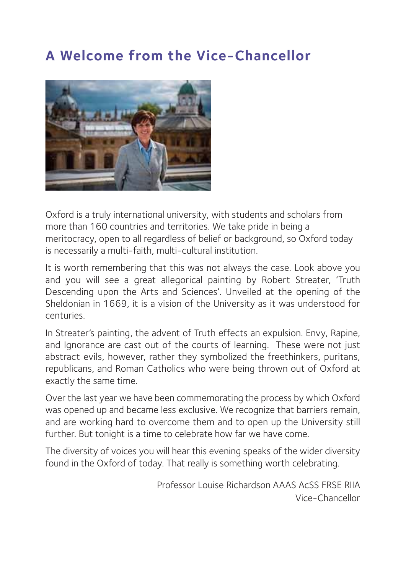#### **A Welcome from the Vice-Chancellor**



Oxford is a truly international university, with students and scholars from more than 160 countries and territories. We take pride in being a meritocracy, open to all regardless of belief or background, so Oxford today is necessarily a multi-faith, multi-cultural institution.

It is worth remembering that this was not always the case. Look above you and you will see a great allegorical painting by Robert Streater, 'Truth Descending upon the Arts and Sciences'. Unveiled at the opening of the Sheldonian in 1669, it is a vision of the University as it was understood for centuries.

In Streater's painting, the advent of Truth effects an expulsion. Envy, Rapine, and Ignorance are cast out of the courts of learning. These were not just abstract evils, however, rather they symbolized the freethinkers, puritans, republicans, and Roman Catholics who were being thrown out of Oxford at exactly the same time.

Over the last year we have been commemorating the process by which Oxford was opened up and became less exclusive. We recognize that barriers remain, and are working hard to overcome them and to open up the University still further. But tonight is a time to celebrate how far we have come.

The diversity of voices you will hear this evening speaks of the wider diversity found in the Oxford of today. That really is something worth celebrating.

> Professor Louise Richardson AAAS AcSS FRSE RIIA Vice-Chancellor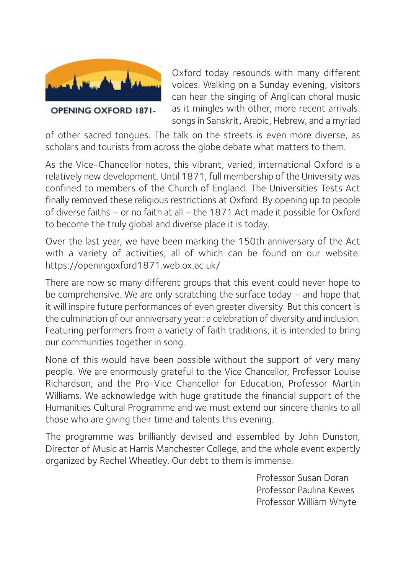

Oxford today resounds with many different voices. Walking on a Sunday evening, visitors can hear the singing of Anglican choral music as it mingles with other, more recent arrivals: songs in Sanskrit, Arabic, Hebrew, and a myriad

of other sacred tongues. The talk on the streets is even more diverse, as scholars and tourists from across the globe debate what matters to them.

As the Vice-Chancellor notes, this vibrant, varied, international Oxford is a relatively new development. Until 1871, full membership of the University was confined to members of the Church of England. The Universities Tests Act finally removed these religious restrictions at Oxford. By opening up to people of diverse faiths – or no faith at all – the 1871 Act made it possible for Oxford to become the truly global and diverse place it is today.

Over the last year, we have been marking the 150th anniversary of the Act with a variety of activities, all of which can be found on our website: https://openingoxford1871.web.ox.ac.uk/

There are now so many different groups that this event could never hope to be comprehensive. We are only scratching the surface today – and hope that it will inspire future performances of even greater diversity. But this concert is the culmination of our anniversary year: a celebration of diversity and inclusion. Featuring performers from a variety of faith traditions, it is intended to bring our communities together in song.

None of this would have been possible without the support of very many people. We are enormously grateful to the Vice Chancellor, Professor Louise Richardson, and the Pro-Vice Chancellor for Education, Professor Martin Williams. We acknowledge with huge gratitude the financial support of the Humanities Cultural Programme and we must extend our sincere thanks to all those who are giving their time and talents this evening.

The programme was brilliantly devised and assembled by John Dunston, Director of Music at Harris Manchester College, and the whole event expertly organized by Rachel Wheatley. Our debt to them is immense.

> Professor Susan Doran Professor Paulina Kewes Professor William Whyte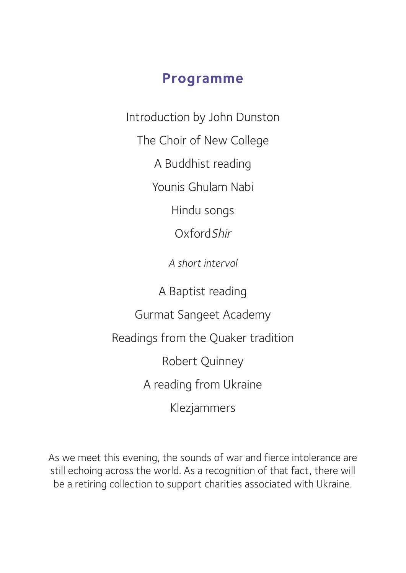#### **Programme**

Introduction by John Dunston

The Choir of New College

A Buddhist reading

Younis Ghulam Nabi

Hindu songs

OxfordShir

*A short interval*

A Baptist reading

Gurmat Sangeet Academy

Readings from the Quaker tradition

Robert Quinney

A reading from Ukraine

Klezjammers

As we meet this evening, the sounds of war and fierce intolerance are still echoing across the world. As a recognition of that fact, there will be a retiring collection to support charities associated with Ukraine.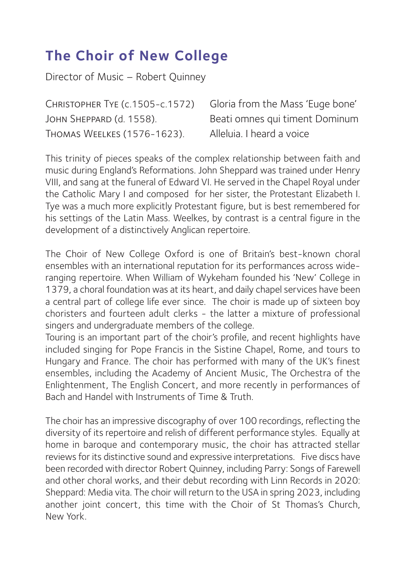#### **The Choir of New College**

Director of Music – Robert Quinney

Christopher Tye (c.1505-c.1572) Gloria from the Mass 'Euge bone' JOHN SHEPPARD (d. 1558). Beati omnes qui timent Dominum Thomas Weelkes (1576-1623). Alleluia. I heard a voice

This trinity of pieces speaks of the complex relationship between faith and music during England's Reformations. John Sheppard was trained under Henry VIII, and sang at the funeral of Edward VI. He served in the Chapel Royal under the Catholic Mary I and composed for her sister, the Protestant Elizabeth I. Tye was a much more explicitly Protestant figure, but is best remembered for his settings of the Latin Mass. Weelkes, by contrast is a central figure in the development of a distinctively Anglican repertoire.

The Choir of New College Oxford is one of Britain's best-known choral ensembles with an international reputation for its performances across wideranging repertoire. When William of Wykeham founded his 'New' College in 1379, a choral foundation was at its heart, and daily chapel services have been a central part of college life ever since. The choir is made up of sixteen boy choristers and fourteen adult clerks - the latter a mixture of professional singers and undergraduate members of the college.

Touring is an important part of the choir's profile, and recent highlights have included singing for Pope Francis in the Sistine Chapel, Rome, and tours to Hungary and France. The choir has performed with many of the UK's finest ensembles, including the Academy of Ancient Music, The Orchestra of the Enlightenment, The English Concert, and more recently in performances of Bach and Handel with Instruments of Time & Truth.

The choir has an impressive discography of over 100 recordings, reflecting the diversity of its repertoire and relish of different performance styles. Equally at home in baroque and contemporary music, the choir has attracted stellar reviews for its distinctive sound and expressive interpretations. Five discs have been recorded with director Robert Quinney, including Parry: Songs of Farewell and other choral works, and their debut recording with Linn Records in 2020: Sheppard: Media vita. The choir will return to the USA in spring 2023, including another joint concert, this time with the Choir of St Thomas's Church, New York.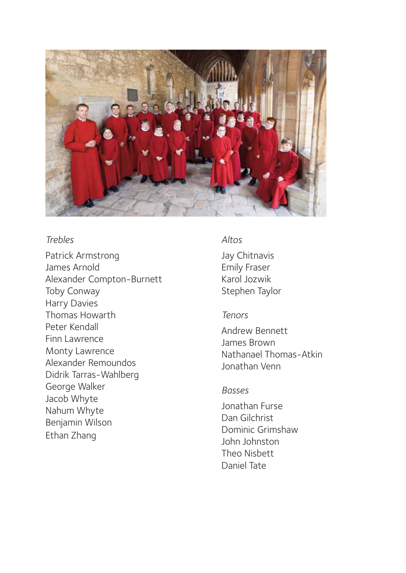

*Trebles* Patrick Armstrong James Arnold Alexander Compton-Burnett Toby Conway Harry Davies Thomas Howarth Peter Kendall Finn Lawrence Monty Lawrence Alexander Remoundos Didrik Tarras-Wahlberg George Walker Jacob Whyte Nahum Whyte Benjamin Wilson Ethan Zhang

*Altos* Jay Chitnavis Emily Fraser Karol Jozwik Stephen Taylor

#### Tenors

*Tenors* Andrew Bennett James Brown Nathanael Thomas-Atkin Jonathan Venn

#### **Basses**

*Basses* Jonathan Furse Dan Gilchrist Dominic Grimshaw John Johnston Theo Nisbett Daniel Tate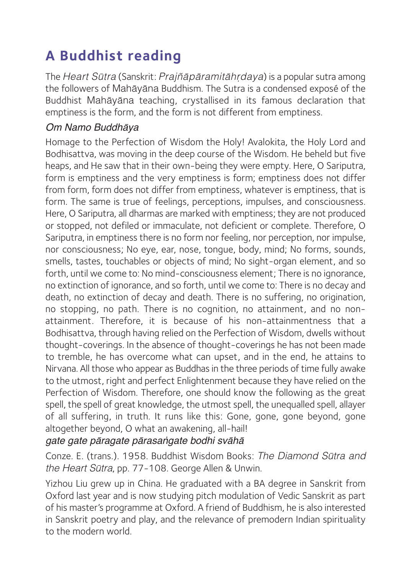## **A Buddhist reading**

The Heart Sūtra (Sanskrit: Prajñāpāramitāhrdaya) is a popular sutra among the followers of Mahāyāna Buddhism. The Sutra is a condensed exposé of the Buddhist Mahāyāna teaching, crystallised in its famous declaration that emptiness is the form, and the form is not different from emptiness.

#### Om Namo Buddhāya

Homage to the Perfection of Wisdom the Holy! Avalokita, the Holy Lord and Bodhisattva, was moving in the deep course of the Wisdom. He beheld but five heaps, and He saw that in their own-being they were empty. Here, O Sariputra, form is emptiness and the very emptiness is form; emptiness does not differ from form, form does not differ from emptiness, whatever is emptiness, that is form. The same is true of feelings, perceptions, impulses, and consciousness. Here, O Sariputra, all dharmas are marked with emptiness; they are not produced or stopped, not defiled or immaculate, not deficient or complete. Therefore, O Sariputra, in emptiness there is no form nor feeling, nor perception, nor impulse, nor consciousness; No eye, ear, nose, tongue, body, mind; No forms, sounds, smells, tastes, touchables or objects of mind; No sight-organ element, and so forth, until we come to: No mind-consciousness element; There is no ignorance, no extinction of ignorance, and so forth, until we come to: There is no decay and death, no extinction of decay and death. There is no suffering, no origination, no stopping, no path. There is no cognition, no attainment, and no nonattainment. Therefore, it is because of his non-attainmentness that a Bodhisattva, through having relied on the Perfection of Wisdom, dwells without thought-coverings. In the absence of thought-coverings he has not been made to tremble, he has overcome what can upset, and in the end, he attains to Nirvana. All those who appear as Buddhas in the three periods of time fully awake to the utmost, right and perfect Enlightenment because they have relied on the Perfection of Wisdom. Therefore, one should know the following as the great spell, the spell of great knowledge, the utmost spell, the unequalled spell, allayer of all suffering, in truth. It runs like this: Gone, gone, gone beyond, gone altogether beyond, O what an awakening, all-hail!

gate gate pāragate pārasaṅgate bodhi svāhā

Conze. E. (trans.). 1958. Buddhist Wisdom Books: The Diamond Sūtra and the Heart Sūtra, pp. 77-108. George Allen & Unwin.

Yizhou Liu grew up in China. He graduated with a BA degree in Sanskrit from Oxford last year and is now studying pitch modulation of Vedic Sanskrit as part of his master's programme at Oxford. A friend of Buddhism, he is also interested in Sanskrit poetry and play, and the relevance of premodern Indian spirituality to the modern world.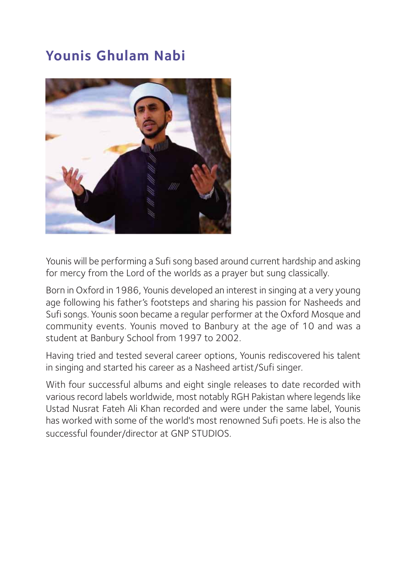### **Younis Ghulam Nabi**



Younis will be performing a Sufi song based around current hardship and asking for mercy from the Lord of the worlds as a prayer but sung classically.

Born in Oxford in 1986, Younis developed an interest in singing at a very young age following his father's footsteps and sharing his passion for Nasheeds and Sufi songs. Younis soon became a regular performer at the Oxford Mosque and community events. Younis moved to Banbury at the age of 10 and was a student at Banbury School from 1997 to 2002.

Having tried and tested several career options, Younis rediscovered his talent in singing and started his career as a Nasheed artist/Sufi singer.

With four successful albums and eight single releases to date recorded with various record labels worldwide, most notably RGH Pakistan where legends like Ustad Nusrat Fateh Ali Khan recorded and were under the same label, Younis has worked with some of the world's most renowned Sufi poets. He is also the successful founder/director at GNP STUDIOS.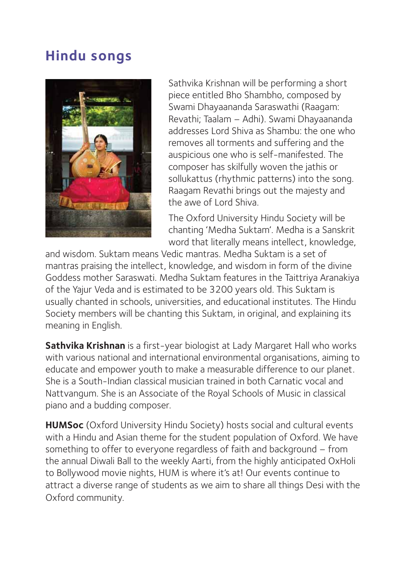#### **Hindu songs**



Sathvika Krishnan will be performing a short piece entitled Bho Shambho, composed by Swami Dhayaananda Saraswathi (Raagam: Revathi; Taalam – Adhi). Swami Dhayaananda addresses Lord Shiva as Shambu: the one who removes all torments and suffering and the auspicious one who is self-manifested. The composer has skilfully woven the jathis or sollukattus (rhythmic patterns) into the song. Raagam Revathi brings out the majesty and the awe of Lord Shiva.

The Oxford University Hindu Society will be chanting 'Medha Suktam'. Medha is a Sanskrit word that literally means intellect, knowledge,

and wisdom. Suktam means Vedic mantras. Medha Suktam is a set of mantras praising the intellect, knowledge, and wisdom in form of the divine Goddess mother Saraswati. Medha Suktam features in the Taittriya Aranakiya of the Yajur Veda and is estimated to be 3200 years old. This Suktam is usually chanted in schools, universities, and educational institutes. The Hindu Society members will be chanting this Suktam, in original, and explaining its meaning in English.

**Sathvika Krishnan** is a first-year biologist at Lady Margaret Hall who works with various national and international environmental organisations, aiming to educate and empower youth to make a measurable difference to our planet. She is a South-Indian classical musician trained in both Carnatic vocal and Nattvangum. She is an Associate of the Royal Schools of Music in classical piano and a budding composer.

**HUMSoc** (Oxford University Hindu Society) hosts social and cultural events with a Hindu and Asian theme for the student population of Oxford. We have something to offer to everyone regardless of faith and background – from the annual Diwali Ball to the weekly Aarti, from the highly anticipated OxHoli to Bollywood movie nights, HUM is where it's at! Our events continue to attract a diverse range of students as we aim to share all things Desi with the Oxford community.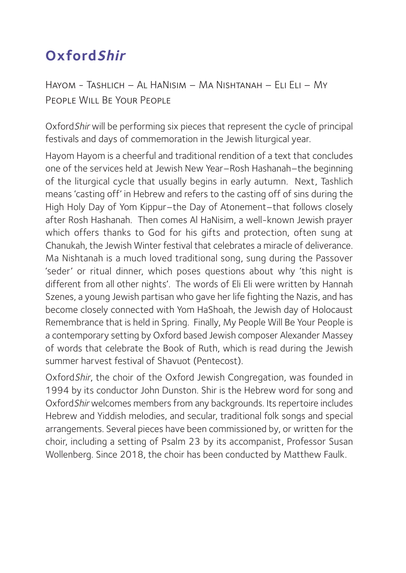### **OxfordShir**

Hayom - Tashlich – Al HaNisim – Ma Nishtanah – Eli Eli – My People Will Be Your People

OxfordShir will be performing six pieces that represent the cycle of principal festivals and days of commemoration in the Jewish liturgical year.

Hayom Hayom is a cheerful and traditional rendition of a text that concludes one of the services held at Jewish New Year –Rosh Hashanah–the beginning of the liturgical cycle that usually begins in early autumn. Next, Tashlich means 'casting off' in Hebrew and refers to the casting off of sins during the High Holy Day of Yom Kippur–the Day of Atonement–that follows closely after Rosh Hashanah. Then comes Al HaNisim, a well-known Jewish prayer which offers thanks to God for his gifts and protection, often sung at Chanukah, the Jewish Winter festival that celebrates a miracle of deliverance. Ma Nishtanah is a much loved traditional song, sung during the Passover 'seder' or ritual dinner, which poses questions about why 'this night is different from all other nights'. The words of Eli Eli were written by Hannah Szenes, a young Jewish partisan who gave her life fighting the Nazis, and has become closely connected with Yom HaShoah, the Jewish day of Holocaust Remembrance that is held in Spring. Finally, My People Will Be Your People is a contemporary setting by Oxford based Jewish composer Alexander Massey of words that celebrate the Book of Ruth, which is read during the Jewish summer harvest festival of Shavuot (Pentecost).

OxfordShir, the choir of the Oxford Jewish Congregation, was founded in 1994 by its conductor John Dunston. Shir is the Hebrew word for song and OxfordShir welcomes members from any backgrounds. Its repertoire includes Hebrew and Yiddish melodies, and secular, traditional folk songs and special arrangements. Several pieces have been commissioned by, or written for the choir, including a setting of Psalm 23 by its accompanist, Professor Susan Wollenberg. Since 2018, the choir has been conducted by Matthew Faulk.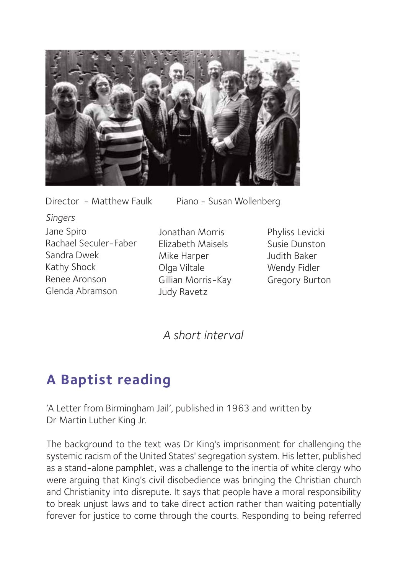

*Singers*

Rachael Seculer-Faber

Jane Spiro

Sandra Dwek Kathy Shock Renee Aronson Glenda Abramson

Director - Matthew Faulk Piano - Susan Wollenberg

Jonathan Morris Elizabeth Maisels Mike Harper Olga Viltale Gillian Morris-Kay Judy Ravetz

Phyliss Levicki Susie Dunston Judith Baker Wendy Fidler Gregory Burton

A short interval *A short interval*

#### **A Baptist reading**

'A Letter from Birmingham Jail', published in 1963 and written by Dr Martin Luther King Jr.

The background to the text was Dr King's imprisonment for challenging the systemic racism of the United States' segregation system. His letter, published as a stand-alone pamphlet, was a challenge to the inertia of white clergy who were arguing that King's civil disobedience was bringing the Christian church and Christianity into disrepute. It says that people have a moral responsibility to break unjust laws and to take direct action rather than waiting potentially forever for justice to come through the courts. Responding to being referred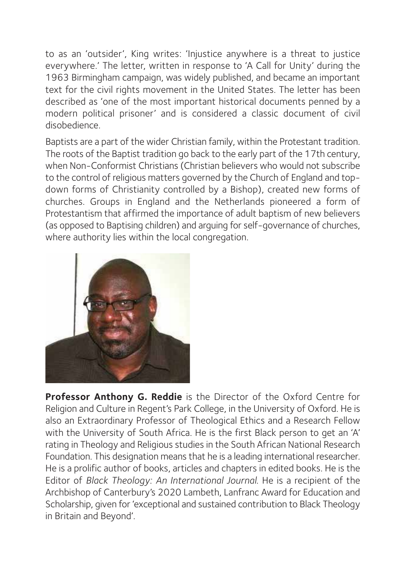to as an 'outsider', King writes: 'Injustice anywhere is a threat to justice everywhere.' The letter, written in response to 'A Call for Unity' during the 1963 Birmingham campaign, was widely published, and became an important text for the civil rights movement in the United States. The letter has been described as 'one of the most important historical documents penned by a modern political prisoner' and is considered a classic document of civil disobedience.

Baptists are a part of the wider Christian family, within the Protestant tradition. The roots of the Baptist tradition go back to the early part of the 17th century, when Non-Conformist Christians (Christian believers who would not subscribe to the control of religious matters governed by the Church of England and topdown forms of Christianity controlled by a Bishop), created new forms of churches. Groups in England and the Netherlands pioneered a form of Protestantism that affirmed the importance of adult baptism of new believers (as opposed to Baptising children) and arguing for self-governance of churches, where authority lies within the local congregation.



**Professor Anthony G. Reddie** is the Director of the Oxford Centre for Religion and Culture in Regent's Park College, in the University of Oxford. He is also an Extraordinary Professor of Theological Ethics and a Research Fellow with the University of South Africa. He is the first Black person to get an 'A' rating in Theology and Religious studies in the South African National Research Foundation. This designation means that he is a leading international researcher. He is a prolific author of books, articles and chapters in edited books. He is the Editor of *Black Theology: An International Journal.* He is a recipient of the Archbishop of Canterbury's 2020 Lambeth, Lanfranc Award for Education and Scholarship, given for 'exceptional and sustained contribution to Black Theology in Britain and Beyond'.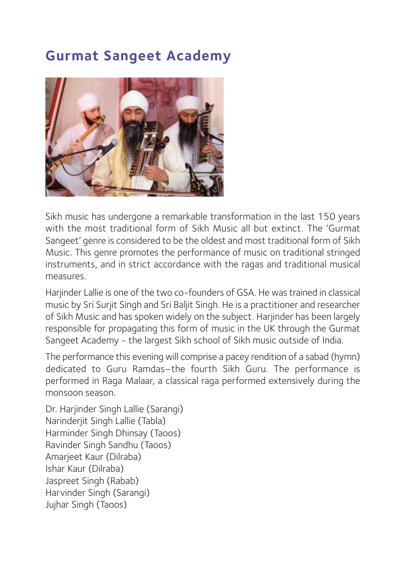#### **Gurmat Sangeet Academy**



Sikh music has undergone a remarkable transformation in the last 150 years with the most traditional form of Sikh Music all but extinct. The 'Gurmat Sangeet' genre is considered to be the oldest and most traditional form of Sikh Music. This genre promotes the performance of music on traditional stringed instruments, and in strict accordance with the ragas and traditional musical measures.

Harjinder Lallie is one of the two co-founders of GSA. He was trained in classical music by Sri Surjit Singh and Sri Baljit Singh. He is a practitioner and researcher of Sikh Music and has spoken widely on the subject. Harjinder has been largely responsible for propagating this form of music in the UK through the Gurmat Sangeet Academy - the largest Sikh school of Sikh music outside of India.

The performance this evening will comprise a pacey rendition of a sabad (hymn) dedicated to Guru Ramdas–the fourth Sikh Guru. The performance is performed in Raga Malaar, a classical raga performed extensively during the monsoon season.

Dr. Harjinder Singh Lallie (Sarangi) Narinderjit Singh Lallie (Tabla) Harminder Singh Dhinsay (Taoos) Ravinder Singh Sandhu (Taoos) Amarjeet Kaur (Dilraba) Ishar Kaur (Dilraba) Jaspreet Singh (Rabab) Harvinder Singh (Sarangi) Jujhar Singh (Taoos)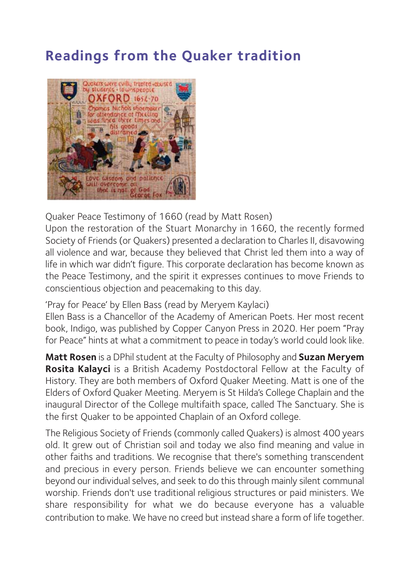#### **Readings from the Quaker tradition**



Quaker Peace Testimony of 1660 (read by Matt Rosen)

Upon the restoration of the Stuart Monarchy in 1660, the recently formed Society of Friends (or Quakers) presented a declaration to Charles II, disavowing all violence and war, because they believed that Christ led them into a way of life in which war didn't figure. This corporate declaration has become known as the Peace Testimony, and the spirit it expresses continues to move Friends to conscientious objection and peacemaking to this day.

'Pray for Peace' by Ellen Bass (read by Meryem Kaylaci)

Ellen Bass is a Chancellor of the Academy of American Poets. Her most recent book, Indigo, was published by Copper Canyon Press in 2020. Her poem "Pray for Peace" hints at what a commitment to peace in today's world could look like.

**Matt Rosen** is a DPhil student at the Faculty of Philosophy and **Suzan Meryem Rosita Kalayci** is a British Academy Postdoctoral Fellow at the Faculty of History. They are both members of Oxford Quaker Meeting. Matt is one of the Elders of Oxford Quaker Meeting. Meryem is St Hilda's College Chaplain and the inaugural Director of the College multifaith space, called The Sanctuary. She is the first Quaker to be appointed Chaplain of an Oxford college.

The Religious Society of Friends (commonly called Quakers) is almost 400 years old. It grew out of Christian soil and today we also find meaning and value in other faiths and traditions. We recognise that there's something transcendent and precious in every person. Friends believe we can encounter something beyond our individual selves, and seek to do this through mainly silent communal worship. Friends don't use traditional religious structures or paid ministers. We share responsibility for what we do because everyone has a valuable contribution to make. We have no creed but instead share a form of life together.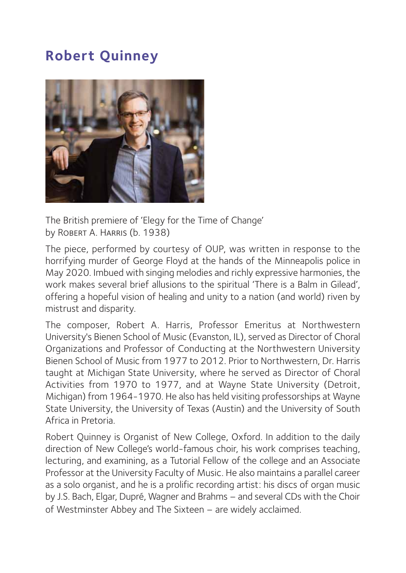#### **Robert Quinney**



The British premiere of 'Elegy for the Time of Change' by ROBERT A. HARRIS (b. 1938)

The piece, performed by courtesy of OUP, was written in response to the horrifying murder of George Floyd at the hands of the Minneapolis police in May 2020. Imbued with singing melodies and richly expressive harmonies, the work makes several brief allusions to the spiritual 'There is a Balm in Gilead', offering a hopeful vision of healing and unity to a nation (and world) riven by mistrust and disparity.

The composer, Robert A. Harris, Professor Emeritus at Northwestern University's Bienen School of Music (Evanston, IL), served as Director of Choral Organizations and Professor of Conducting at the Northwestern University Bienen School of Music from 1977 to 2012. Prior to Northwestern, Dr. Harris taught at Michigan State University, where he served as Director of Choral Activities from 1970 to 1977, and at Wayne State University (Detroit, Michigan) from 1964-1970. He also has held visiting professorships at Wayne State University, the University of Texas (Austin) and the University of South Africa in Pretoria.

Robert Quinney is Organist of New College, Oxford. In addition to the daily direction of New College's world-famous choir, his work comprises teaching, lecturing, and examining, as a Tutorial Fellow of the college and an Associate Professor at the University Faculty of Music. He also maintains a parallel career as a solo organist, and he is a prolific recording artist: his discs of organ music by J.S. Bach, Elgar, Dupré, Wagner and Brahms – and several CDs with the Choir of Westminster Abbey and The Sixteen – are widely acclaimed.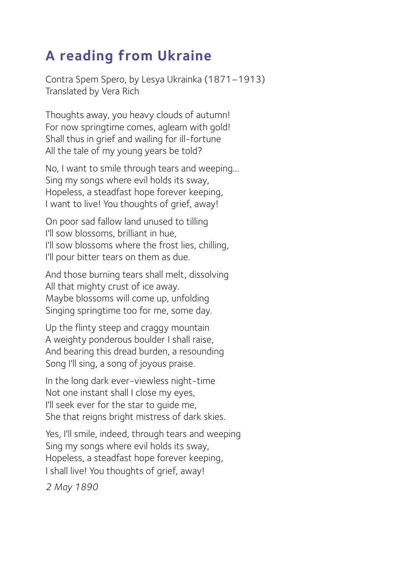#### **A reading from Ukraine**

Contra Spem Spero, by Lesya Ukrainka (1871–1913) Translated by Vera Rich

Thoughts away, you heavy clouds of autumn! For now springtime comes, agleam with gold! Shall thus in grief and wailing for ill-fortune All the tale of my young years be told?

No, I want to smile through tears and weeping… Sing my songs where evil holds its sway, Hopeless, a steadfast hope forever keeping, I want to live! You thoughts of grief, away!

On poor sad fallow land unused to tilling I'll sow blossoms, brilliant in hue, I'll sow blossoms where the frost lies, chilling, I'll pour bitter tears on them as due.

And those burning tears shall melt, dissolving All that mighty crust of ice away. Maybe blossoms will come up, unfolding Singing springtime too for me, some day.

Up the flinty steep and craggy mountain A weighty ponderous boulder I shall raise, And bearing this dread burden, a resounding Song I'll sing, a song of joyous praise.

In the long dark ever-viewless night-time Not one instant shall I close my eyes, I'll seek ever for the star to guide me, She that reigns bright mistress of dark skies.

Yes, I'll smile, indeed, through tears and weeping Sing my songs where evil holds its sway, Hopeless, a steadfast hope forever keeping, I shall live! You thoughts of grief, away!

*2 May 1890*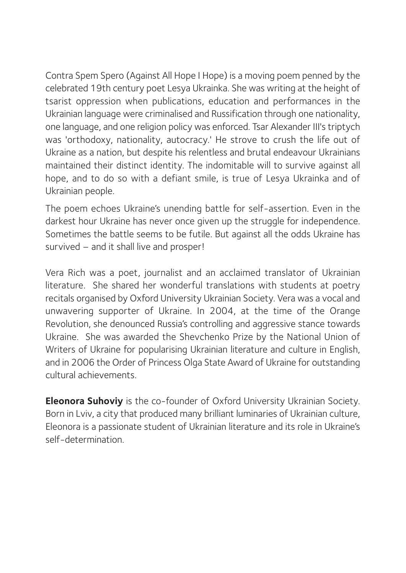Contra Spem Spero (Against All Hope I Hope) is a moving poem penned by the celebrated 19th century poet Lesya Ukrainka. She was writing at the height of tsarist oppression when publications, education and performances in the Ukrainian language were criminalised and Russification through one nationality, one language, and one religion policy was enforced. Tsar Alexander III's triptych was 'orthodoxy, nationality, autocracy.' He strove to crush the life out of Ukraine as a nation, but despite his relentless and brutal endeavour Ukrainians maintained their distinct identity. The indomitable will to survive against all hope, and to do so with a defiant smile, is true of Lesya Ukrainka and of Ukrainian people.

The poem echoes Ukraine's unending battle for self-assertion. Even in the darkest hour Ukraine has never once given up the struggle for independence. Sometimes the battle seems to be futile. But against all the odds Ukraine has survived – and it shall live and prosper!

Vera Rich was a poet, journalist and an acclaimed translator of Ukrainian literature. She shared her wonderful translations with students at poetry recitals organised by Oxford University Ukrainian Society. Vera was a vocal and unwavering supporter of Ukraine. In 2004, at the time of the Orange Revolution, she denounced Russia's controlling and aggressive stance towards Ukraine. She was awarded the Shevchenko Prize by the National Union of Writers of Ukraine for popularising Ukrainian literature and culture in English, and in 2006 the Order of Princess Olga State Award of Ukraine for outstanding cultural achievements.

**Eleonora Suhoviy** is the co-founder of Oxford University Ukrainian Society. Born in Lviv, a city that produced many brilliant luminaries of Ukrainian culture, Eleonora is a passionate student of Ukrainian literature and its role in Ukraine's self-determination.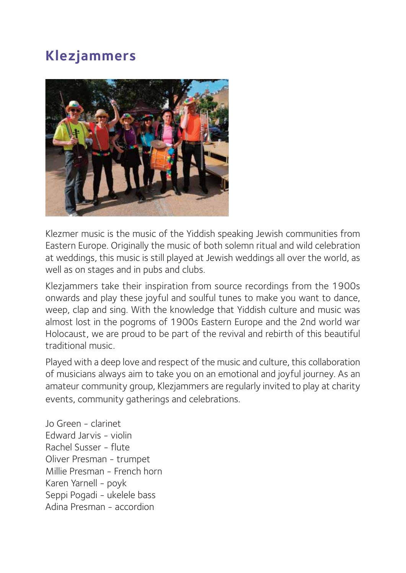#### **Klezjammers**



Klezmer music is the music of the Yiddish speaking Jewish communities from Eastern Europe. Originally the music of both solemn ritual and wild celebration at weddings, this music is still played at Jewish weddings all over the world, as well as on stages and in pubs and clubs.

Klezjammers take their inspiration from source recordings from the 1900s onwards and play these joyful and soulful tunes to make you want to dance, weep, clap and sing. With the knowledge that Yiddish culture and music was almost lost in the pogroms of 1900s Eastern Europe and the 2nd world war Holocaust, we are proud to be part of the revival and rebirth of this beautiful traditional music.

Played with a deep love and respect of the music and culture, this collaboration of musicians always aim to take you on an emotional and joyful journey. As an amateur community group, Klezjammers are regularly invited to play at charity events, community gatherings and celebrations.

Jo Green - clarinet Edward Jarvis - violin Rachel Susser - flute Oliver Presman - trumpet Millie Presman - French horn Karen Yarnell - poyk Seppi Pogadi - ukelele bass Adina Presman - accordion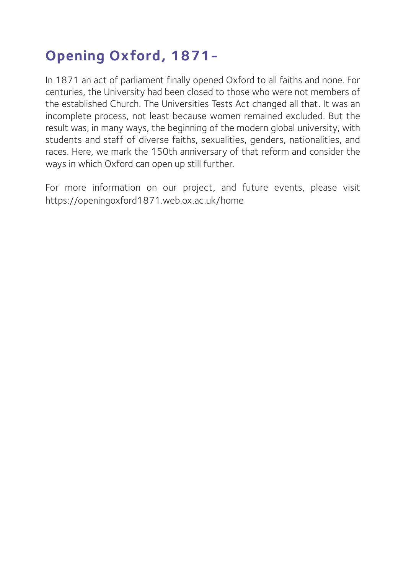### **Opening Oxford, 1871-**

In 1871 an act of parliament finally opened Oxford to all faiths and none. For centuries, the University had been closed to those who were not members of the established Church. The Universities Tests Act changed all that. It was an incomplete process, not least because women remained excluded. But the result was, in many ways, the beginning of the modern global university, with students and staff of diverse faiths, sexualities, genders, nationalities, and races. Here, we mark the 150th anniversary of that reform and consider the ways in which Oxford can open up still further.

For more information on our project, and future events, please visit https://openingoxford1871.web.ox.ac.uk/home